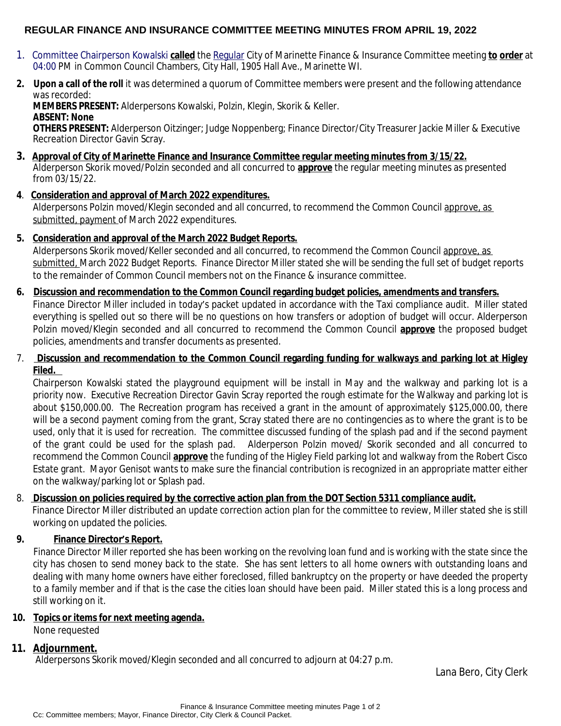## **REGULAR FINANCE AND INSURANCE COMMITTEE MEETING MINUTES FROM APRIL 19, 2022**

- 1. Committee Chairperson Kowalski **called** the Regular City of Marinette Finance & Insurance Committee meeting **to order** at 04:00 PM in Common Council Chambers, City Hall, 1905 Hall Ave., Marinette WI.
- **2. Upon a call of the roll** it was determined a quorum of Committee members were present and the following attendance was recorded:

**MEMBERS PRESENT:** Alderpersons Kowalski, Polzin, Klegin, Skorik & Keller. **ABSENT: None**

**OTHERS PRESENT:** Alderperson Oitzinger; Judge Noppenberg; Finance Director/City Treasurer Jackie Miller & Executive Recreation Director Gavin Scray.

- **3. Approval of City of Marinette Finance and Insurance Committee regular meeting minutes from 3/15/22.** Alderperson Skorik moved/Polzin seconded and all concurred to **approve** the regular meeting minutes as presented from 03/15/22.
- **4**. **Consideration and approval of March 2022 expenditures.**

Alderpersons Polzin moved/Klegin seconded and all concurred, to recommend the Common Council approve, as submitted, payment of March 2022 expenditures.

**5. Consideration and approval of the March 2022 Budget Reports.**

Alderpersons Skorik moved/Keller seconded and all concurred, to recommend the Common Council approve, as submitted, March 2022 Budget Reports. Finance Director Miller stated she will be sending the full set of budget reports to the remainder of Common Council members not on the Finance & insurance committee.

- **6. Discussion and recommendation to the Common Council regarding budget policies, amendments and transfers.** Finance Director Miller included in today's packet updated in accordance with the Taxi compliance audit. Miller stated everything is spelled out so there will be no questions on how transfers or adoption of budget will occur. Alderperson Polzin moved/Klegin seconded and all concurred to recommend the Common Council **approve** the proposed budget policies, amendments and transfer documents as presented.
- 7. **Discussion and recommendation to the Common Council regarding funding for walkways and parking lot at Higley Filed.**

Chairperson Kowalski stated the playground equipment will be install in May and the walkway and parking lot is a priority now. Executive Recreation Director Gavin Scray reported the rough estimate for the Walkway and parking lot is about \$150,000.00. The Recreation program has received a grant in the amount of approximately \$125,000.00, there will be a second payment coming from the grant, Scray stated there are no contingencies as to where the grant is to be used, only that it is used for recreation. The committee discussed funding of the splash pad and if the second payment of the grant could be used for the splash pad. Alderperson Polzin moved/ Skorik seconded and all concurred to recommend the Common Council **approve** the funding of the Higley Field parking lot and walkway from the Robert Cisco Estate grant. Mayor Genisot wants to make sure the financial contribution is recognized in an appropriate matter either on the walkway/parking lot or Splash pad.

## 8. **Discussion on policies required by the corrective action plan from the DOT Section 5311 compliance audit.**

Finance Director Miller distributed an update correction action plan for the committee to review, Miller stated she is still working on updated the policies.

# **9. Finance Director's Report.**

Finance Director Miller reported she has been working on the revolving loan fund and is working with the state since the city has chosen to send money back to the state. She has sent letters to all home owners with outstanding loans and dealing with many home owners have either foreclosed, filled bankruptcy on the property or have deeded the property to a family member and if that is the case the cities loan should have been paid. Miller stated this is a long process and still working on it.

## **10. Topics or items for next meeting agenda.**

None requested

## **11. Adjournment.**

Alderpersons Skorik moved/Klegin seconded and all concurred to adjourn at 04:27 p.m.

Lana Bero, City Clerk